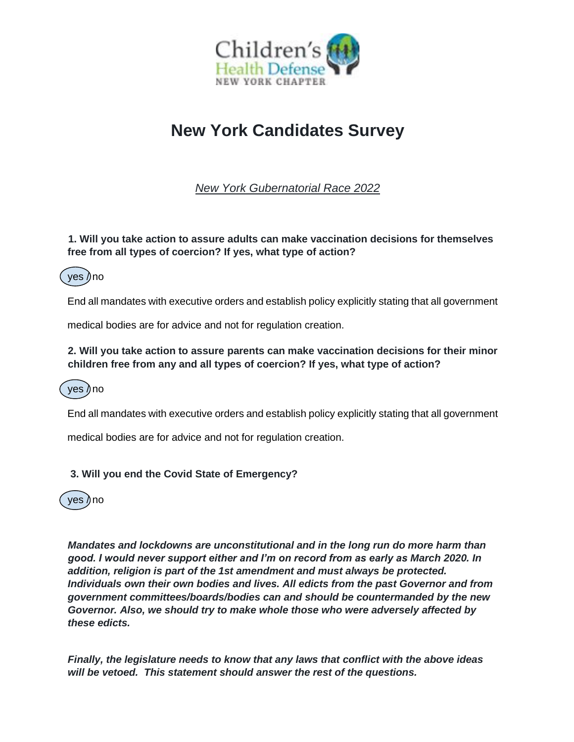

# **New York Candidates Survey**

*New York Gubernatorial Race 2022*

### **1. Will you take action to assure adults can make vaccination decisions for themselves free from all types of coercion? If yes, what type of action?**



End all mandates with executive orders and establish policy explicitly stating that all government

medical bodies are for advice and not for regulation creation.

#### **2. Will you take action to assure parents can make vaccination decisions for their minor children free from any and all types of coercion? If yes, what type of action?**



End all mandates with executive orders and establish policy explicitly stating that all government

medical bodies are for advice and not for regulation creation.

### **3. Will you end the Covid State of Emergency?**



*Mandates and lockdowns are unconstitutional and in the long run do more harm than good. I would never support either and I'm on record from as early as March 2020. In addition, religion is part of the 1st amendment and must always be protected. Individuals own their own bodies and lives. All edicts from the past Governor and from government committees/boards/bodies can and should be countermanded by the new Governor. Also, we should try to make whole those who were adversely affected by these edicts.* 

*Finally, the legislature needs to know that any laws that conflict with the above ideas will be vetoed. This statement should answer the rest of the questions.*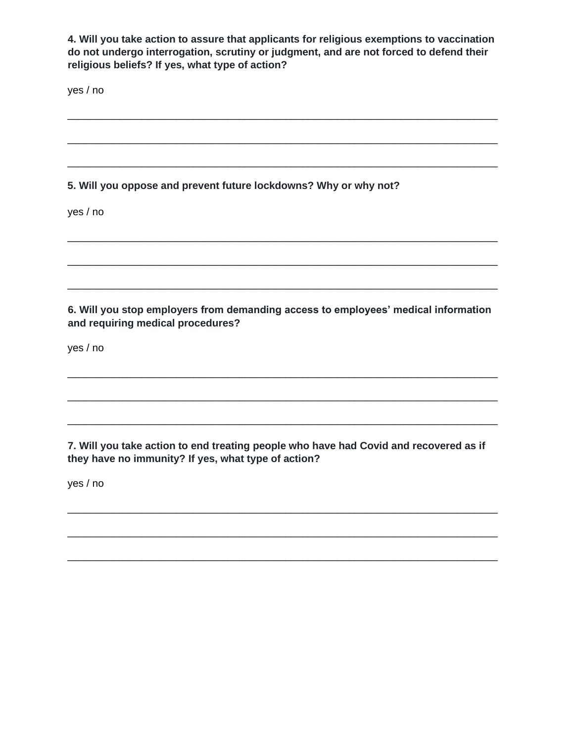**4. Will you take action to assure that applicants for religious exemptions to vaccination do not undergo interrogation, scrutiny or judgment, and are not forced to defend their religious beliefs? If yes, what type of action?** 

\_\_\_\_\_\_\_\_\_\_\_\_\_\_\_\_\_\_\_\_\_\_\_\_\_\_\_\_\_\_\_\_\_\_\_\_\_\_\_\_\_\_\_\_\_\_\_\_\_\_\_\_\_\_\_\_\_\_\_\_\_\_\_\_\_\_\_\_\_\_\_\_\_\_\_

\_\_\_\_\_\_\_\_\_\_\_\_\_\_\_\_\_\_\_\_\_\_\_\_\_\_\_\_\_\_\_\_\_\_\_\_\_\_\_\_\_\_\_\_\_\_\_\_\_\_\_\_\_\_\_\_\_\_\_\_\_\_\_\_\_\_\_\_\_\_\_\_\_\_\_

\_\_\_\_\_\_\_\_\_\_\_\_\_\_\_\_\_\_\_\_\_\_\_\_\_\_\_\_\_\_\_\_\_\_\_\_\_\_\_\_\_\_\_\_\_\_\_\_\_\_\_\_\_\_\_\_\_\_\_\_\_\_\_\_\_\_\_\_\_\_\_\_\_\_\_

\_\_\_\_\_\_\_\_\_\_\_\_\_\_\_\_\_\_\_\_\_\_\_\_\_\_\_\_\_\_\_\_\_\_\_\_\_\_\_\_\_\_\_\_\_\_\_\_\_\_\_\_\_\_\_\_\_\_\_\_\_\_\_\_\_\_\_\_\_\_\_\_\_\_\_

\_\_\_\_\_\_\_\_\_\_\_\_\_\_\_\_\_\_\_\_\_\_\_\_\_\_\_\_\_\_\_\_\_\_\_\_\_\_\_\_\_\_\_\_\_\_\_\_\_\_\_\_\_\_\_\_\_\_\_\_\_\_\_\_\_\_\_\_\_\_\_\_\_\_\_

\_\_\_\_\_\_\_\_\_\_\_\_\_\_\_\_\_\_\_\_\_\_\_\_\_\_\_\_\_\_\_\_\_\_\_\_\_\_\_\_\_\_\_\_\_\_\_\_\_\_\_\_\_\_\_\_\_\_\_\_\_\_\_\_\_\_\_\_\_\_\_\_\_\_\_

yes / no

### **5. Will you oppose and prevent future lockdowns? Why or why not?**

yes / no

## **6. Will you stop employers from demanding access to employees' medical information and requiring medical procedures?**

\_\_\_\_\_\_\_\_\_\_\_\_\_\_\_\_\_\_\_\_\_\_\_\_\_\_\_\_\_\_\_\_\_\_\_\_\_\_\_\_\_\_\_\_\_\_\_\_\_\_\_\_\_\_\_\_\_\_\_\_\_\_\_\_\_\_\_\_\_\_\_\_\_\_\_

\_\_\_\_\_\_\_\_\_\_\_\_\_\_\_\_\_\_\_\_\_\_\_\_\_\_\_\_\_\_\_\_\_\_\_\_\_\_\_\_\_\_\_\_\_\_\_\_\_\_\_\_\_\_\_\_\_\_\_\_\_\_\_\_\_\_\_\_\_\_\_\_\_\_\_

yes / no

**7. Will you take action to end treating people who have had Covid and recovered as if they have no immunity? If yes, what type of action?** 

\_\_\_\_\_\_\_\_\_\_\_\_\_\_\_\_\_\_\_\_\_\_\_\_\_\_\_\_\_\_\_\_\_\_\_\_\_\_\_\_\_\_\_\_\_\_\_\_\_\_\_\_\_\_\_\_\_\_\_\_\_\_\_\_\_\_\_\_\_\_\_\_\_\_\_

\_\_\_\_\_\_\_\_\_\_\_\_\_\_\_\_\_\_\_\_\_\_\_\_\_\_\_\_\_\_\_\_\_\_\_\_\_\_\_\_\_\_\_\_\_\_\_\_\_\_\_\_\_\_\_\_\_\_\_\_\_\_\_\_\_\_\_\_\_\_\_\_\_\_\_

\_\_\_\_\_\_\_\_\_\_\_\_\_\_\_\_\_\_\_\_\_\_\_\_\_\_\_\_\_\_\_\_\_\_\_\_\_\_\_\_\_\_\_\_\_\_\_\_\_\_\_\_\_\_\_\_\_\_\_\_\_\_\_\_\_\_\_\_\_\_\_\_\_\_\_

yes / no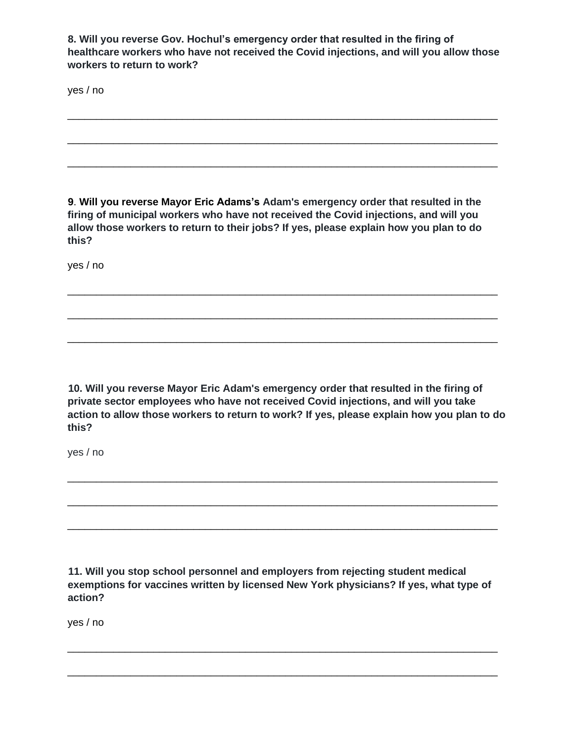**8. Will you reverse Gov. Hochul's emergency order that resulted in the firing of healthcare workers who have not received the Covid injections, and will you allow those workers to return to work?** 

\_\_\_\_\_\_\_\_\_\_\_\_\_\_\_\_\_\_\_\_\_\_\_\_\_\_\_\_\_\_\_\_\_\_\_\_\_\_\_\_\_\_\_\_\_\_\_\_\_\_\_\_\_\_\_\_\_\_\_\_\_\_\_\_\_\_\_\_\_\_\_\_\_\_\_

\_\_\_\_\_\_\_\_\_\_\_\_\_\_\_\_\_\_\_\_\_\_\_\_\_\_\_\_\_\_\_\_\_\_\_\_\_\_\_\_\_\_\_\_\_\_\_\_\_\_\_\_\_\_\_\_\_\_\_\_\_\_\_\_\_\_\_\_\_\_\_\_\_\_\_

\_\_\_\_\_\_\_\_\_\_\_\_\_\_\_\_\_\_\_\_\_\_\_\_\_\_\_\_\_\_\_\_\_\_\_\_\_\_\_\_\_\_\_\_\_\_\_\_\_\_\_\_\_\_\_\_\_\_\_\_\_\_\_\_\_\_\_\_\_\_\_\_\_\_\_

yes / no

**9**. **Will you reverse Mayor Eric Adams's Adam's emergency order that resulted in the firing of municipal workers who have not received the Covid injections, and will you allow those workers to return to their jobs? If yes, please explain how you plan to do this?** 

\_\_\_\_\_\_\_\_\_\_\_\_\_\_\_\_\_\_\_\_\_\_\_\_\_\_\_\_\_\_\_\_\_\_\_\_\_\_\_\_\_\_\_\_\_\_\_\_\_\_\_\_\_\_\_\_\_\_\_\_\_\_\_\_\_\_\_\_\_\_\_\_\_\_\_

\_\_\_\_\_\_\_\_\_\_\_\_\_\_\_\_\_\_\_\_\_\_\_\_\_\_\_\_\_\_\_\_\_\_\_\_\_\_\_\_\_\_\_\_\_\_\_\_\_\_\_\_\_\_\_\_\_\_\_\_\_\_\_\_\_\_\_\_\_\_\_\_\_\_\_

\_\_\_\_\_\_\_\_\_\_\_\_\_\_\_\_\_\_\_\_\_\_\_\_\_\_\_\_\_\_\_\_\_\_\_\_\_\_\_\_\_\_\_\_\_\_\_\_\_\_\_\_\_\_\_\_\_\_\_\_\_\_\_\_\_\_\_\_\_\_\_\_\_\_\_

yes / no

**10. Will you reverse Mayor Eric Adam's emergency order that resulted in the firing of private sector employees who have not received Covid injections, and will you take action to allow those workers to return to work? If yes, please explain how you plan to do this?** 

\_\_\_\_\_\_\_\_\_\_\_\_\_\_\_\_\_\_\_\_\_\_\_\_\_\_\_\_\_\_\_\_\_\_\_\_\_\_\_\_\_\_\_\_\_\_\_\_\_\_\_\_\_\_\_\_\_\_\_\_\_\_\_\_\_\_\_\_\_\_\_\_\_\_\_

\_\_\_\_\_\_\_\_\_\_\_\_\_\_\_\_\_\_\_\_\_\_\_\_\_\_\_\_\_\_\_\_\_\_\_\_\_\_\_\_\_\_\_\_\_\_\_\_\_\_\_\_\_\_\_\_\_\_\_\_\_\_\_\_\_\_\_\_\_\_\_\_\_\_\_

\_\_\_\_\_\_\_\_\_\_\_\_\_\_\_\_\_\_\_\_\_\_\_\_\_\_\_\_\_\_\_\_\_\_\_\_\_\_\_\_\_\_\_\_\_\_\_\_\_\_\_\_\_\_\_\_\_\_\_\_\_\_\_\_\_\_\_\_\_\_\_\_\_\_\_

yes / no

**11. Will you stop school personnel and employers from rejecting student medical exemptions for vaccines written by licensed New York physicians? If yes, what type of action?** 

\_\_\_\_\_\_\_\_\_\_\_\_\_\_\_\_\_\_\_\_\_\_\_\_\_\_\_\_\_\_\_\_\_\_\_\_\_\_\_\_\_\_\_\_\_\_\_\_\_\_\_\_\_\_\_\_\_\_\_\_\_\_\_\_\_\_\_\_\_\_\_\_\_\_\_

\_\_\_\_\_\_\_\_\_\_\_\_\_\_\_\_\_\_\_\_\_\_\_\_\_\_\_\_\_\_\_\_\_\_\_\_\_\_\_\_\_\_\_\_\_\_\_\_\_\_\_\_\_\_\_\_\_\_\_\_\_\_\_\_\_\_\_\_\_\_\_\_\_\_\_

yes / no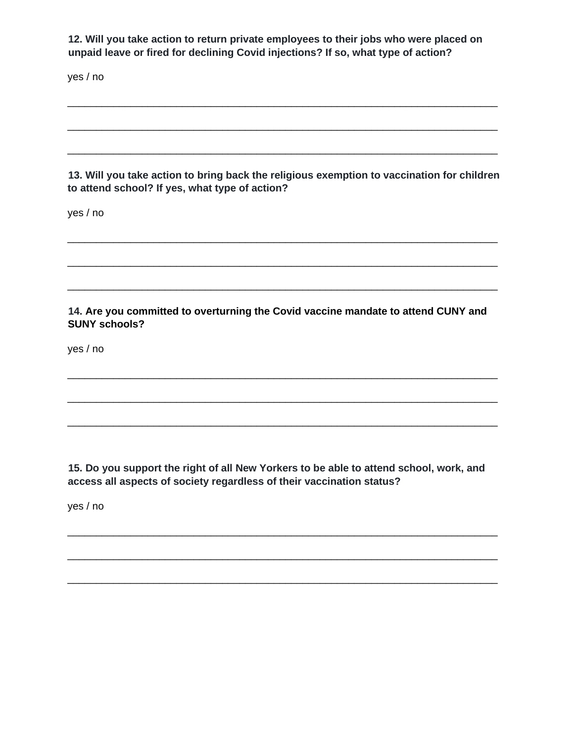**12. Will you take action to return private employees to their jobs who were placed on unpaid leave or fired for declining Covid injections? If so, what type of action?**

yes / no

**13. Will you take action to bring back the religious exemption to vaccination for children to attend school? If yes, what type of action?** 

\_\_\_\_\_\_\_\_\_\_\_\_\_\_\_\_\_\_\_\_\_\_\_\_\_\_\_\_\_\_\_\_\_\_\_\_\_\_\_\_\_\_\_\_\_\_\_\_\_\_\_\_\_\_\_\_\_\_\_\_\_\_\_\_\_\_\_\_\_\_\_\_\_\_\_

\_\_\_\_\_\_\_\_\_\_\_\_\_\_\_\_\_\_\_\_\_\_\_\_\_\_\_\_\_\_\_\_\_\_\_\_\_\_\_\_\_\_\_\_\_\_\_\_\_\_\_\_\_\_\_\_\_\_\_\_\_\_\_\_\_\_\_\_\_\_\_\_\_\_\_

\_\_\_\_\_\_\_\_\_\_\_\_\_\_\_\_\_\_\_\_\_\_\_\_\_\_\_\_\_\_\_\_\_\_\_\_\_\_\_\_\_\_\_\_\_\_\_\_\_\_\_\_\_\_\_\_\_\_\_\_\_\_\_\_\_\_\_\_\_\_\_\_\_\_\_

\_\_\_\_\_\_\_\_\_\_\_\_\_\_\_\_\_\_\_\_\_\_\_\_\_\_\_\_\_\_\_\_\_\_\_\_\_\_\_\_\_\_\_\_\_\_\_\_\_\_\_\_\_\_\_\_\_\_\_\_\_\_\_\_\_\_\_\_\_\_\_\_\_\_\_

\_\_\_\_\_\_\_\_\_\_\_\_\_\_\_\_\_\_\_\_\_\_\_\_\_\_\_\_\_\_\_\_\_\_\_\_\_\_\_\_\_\_\_\_\_\_\_\_\_\_\_\_\_\_\_\_\_\_\_\_\_\_\_\_\_\_\_\_\_\_\_\_\_\_\_

\_\_\_\_\_\_\_\_\_\_\_\_\_\_\_\_\_\_\_\_\_\_\_\_\_\_\_\_\_\_\_\_\_\_\_\_\_\_\_\_\_\_\_\_\_\_\_\_\_\_\_\_\_\_\_\_\_\_\_\_\_\_\_\_\_\_\_\_\_\_\_\_\_\_\_

yes / no

**14. Are you committed to overturning the Covid vaccine mandate to attend CUNY and SUNY schools?** 

\_\_\_\_\_\_\_\_\_\_\_\_\_\_\_\_\_\_\_\_\_\_\_\_\_\_\_\_\_\_\_\_\_\_\_\_\_\_\_\_\_\_\_\_\_\_\_\_\_\_\_\_\_\_\_\_\_\_\_\_\_\_\_\_\_\_\_\_\_\_\_\_\_\_\_

\_\_\_\_\_\_\_\_\_\_\_\_\_\_\_\_\_\_\_\_\_\_\_\_\_\_\_\_\_\_\_\_\_\_\_\_\_\_\_\_\_\_\_\_\_\_\_\_\_\_\_\_\_\_\_\_\_\_\_\_\_\_\_\_\_\_\_\_\_\_\_\_\_\_\_

\_\_\_\_\_\_\_\_\_\_\_\_\_\_\_\_\_\_\_\_\_\_\_\_\_\_\_\_\_\_\_\_\_\_\_\_\_\_\_\_\_\_\_\_\_\_\_\_\_\_\_\_\_\_\_\_\_\_\_\_\_\_\_\_\_\_\_\_\_\_\_\_\_\_\_

yes / no

**15. Do you support the right of all New Yorkers to be able to attend school, work, and access all aspects of society regardless of their vaccination status?** 

\_\_\_\_\_\_\_\_\_\_\_\_\_\_\_\_\_\_\_\_\_\_\_\_\_\_\_\_\_\_\_\_\_\_\_\_\_\_\_\_\_\_\_\_\_\_\_\_\_\_\_\_\_\_\_\_\_\_\_\_\_\_\_\_\_\_\_\_\_\_\_\_\_\_\_

\_\_\_\_\_\_\_\_\_\_\_\_\_\_\_\_\_\_\_\_\_\_\_\_\_\_\_\_\_\_\_\_\_\_\_\_\_\_\_\_\_\_\_\_\_\_\_\_\_\_\_\_\_\_\_\_\_\_\_\_\_\_\_\_\_\_\_\_\_\_\_\_\_\_\_

\_\_\_\_\_\_\_\_\_\_\_\_\_\_\_\_\_\_\_\_\_\_\_\_\_\_\_\_\_\_\_\_\_\_\_\_\_\_\_\_\_\_\_\_\_\_\_\_\_\_\_\_\_\_\_\_\_\_\_\_\_\_\_\_\_\_\_\_\_\_\_\_\_\_\_

yes / no